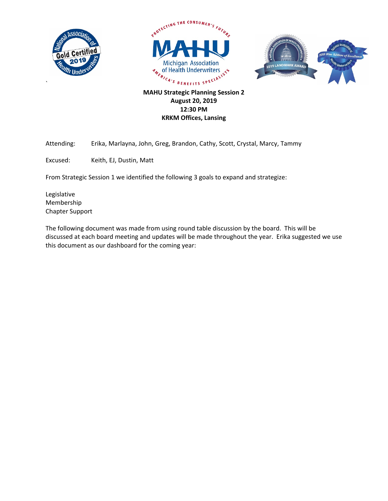

`





**MAHU Strategic Planning Session 2 August 20, 2019 12:30 PM KRKM Offices, Lansing**

Attending: Erika, Marlayna, John, Greg, Brandon, Cathy, Scott, Crystal, Marcy, Tammy

Excused: Keith, EJ, Dustin, Matt

From Strategic Session 1 we identified the following 3 goals to expand and strategize:

Legislative Membership Chapter Support

The following document was made from using round table discussion by the board. This will be discussed at each board meeting and updates will be made throughout the year. Erika suggested we use this document as our dashboard for the coming year: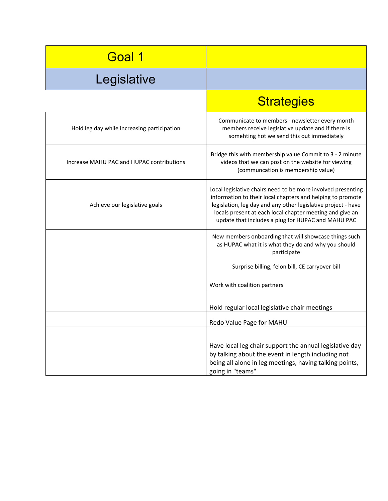| Goal 1                                      |                                                                                                                                                                                                                                                                                                               |
|---------------------------------------------|---------------------------------------------------------------------------------------------------------------------------------------------------------------------------------------------------------------------------------------------------------------------------------------------------------------|
| Legislative                                 |                                                                                                                                                                                                                                                                                                               |
|                                             | <b>Strategies</b>                                                                                                                                                                                                                                                                                             |
| Hold leg day while increasing participation | Communicate to members - newsletter every month<br>members receive legislative update and if there is<br>somehting hot we send this out immediately                                                                                                                                                           |
| Increase MAHU PAC and HUPAC contributions   | Bridge this with membership value Commit to 3 - 2 minute<br>videos that we can post on the website for viewing<br>(communcation is membership value)                                                                                                                                                          |
| Achieve our legislative goals               | Local legislative chairs need to be more involved presenting<br>information to their local chapters and helping to promote<br>legislation, leg day and any other legislative project - have<br>locals present at each local chapter meeting and give an<br>update that includes a plug for HUPAC and MAHU PAC |
|                                             | New members onboarding that will showcase things such<br>as HUPAC what it is what they do and why you should<br>participate                                                                                                                                                                                   |
|                                             | Surprise billing, felon bill, CE carryover bill                                                                                                                                                                                                                                                               |
|                                             | Work with coalition partners                                                                                                                                                                                                                                                                                  |
|                                             | Hold regular local legislative chair meetings                                                                                                                                                                                                                                                                 |
|                                             | Redo Value Page for MAHU                                                                                                                                                                                                                                                                                      |
|                                             | Have local leg chair support the annual legislative day<br>by talking about the event in length including not<br>being all alone in leg meetings, having talking points,<br>going in "teams"                                                                                                                  |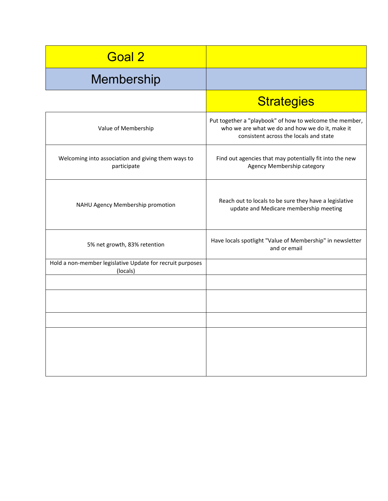| <b>Strategies</b>                                                                                                                                    |
|------------------------------------------------------------------------------------------------------------------------------------------------------|
| Put together a "playbook" of how to welcome the member,<br>who we are what we do and how we do it, make it<br>consistent across the locals and state |
| Find out agencies that may potentially fit into the new<br>Agency Membership category                                                                |
| Reach out to locals to be sure they have a legislative<br>update and Medicare membership meeting                                                     |
| Have locals spotlight "Value of Membership" in newsletter<br>and or email                                                                            |
|                                                                                                                                                      |
|                                                                                                                                                      |
|                                                                                                                                                      |
|                                                                                                                                                      |
|                                                                                                                                                      |
|                                                                                                                                                      |
|                                                                                                                                                      |